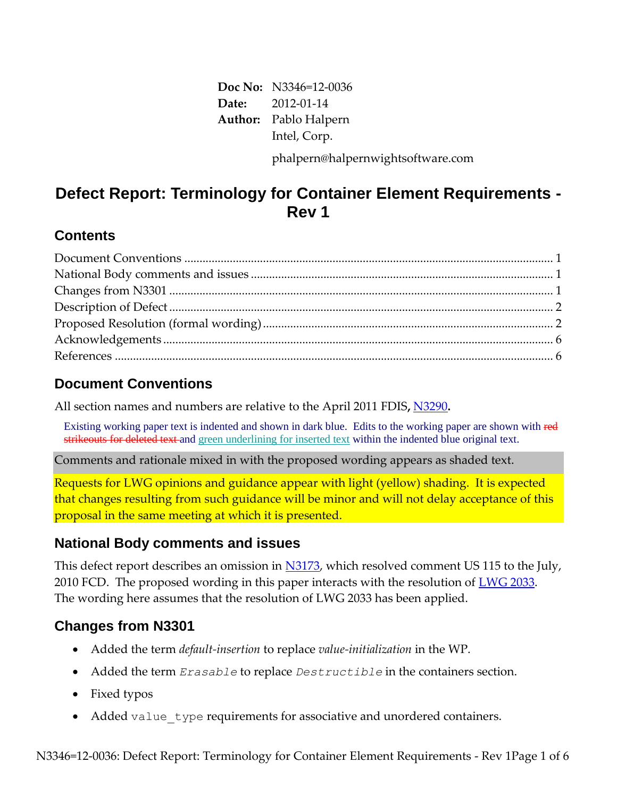**Doc No:** N3346=12-0036 **Date:** 2012-01-14 **Author:** Pablo Halpern Intel, Corp. phalpern@halpernwightsoftware.com

# **Defect Report: Terminology for Container Element Requirements - Rev 1**

### **Contents**

## **Document Conventions**

All section names and numbers are relative to the April 2011 FDIS**,** [N3290](http://www.open-std.org/JTC1/SC22/WG21/docs/papers/2011/n3290.pdf)**.**

Existing working paper text is indented and shown in dark blue. Edits to the working paper are shown with red strikeouts for deleted text and green underlining for inserted text within the indented blue original text.

Comments and rationale mixed in with the proposed wording appears as shaded text.

Requests for LWG opinions and guidance appear with light (yellow) shading. It is expected that changes resulting from such guidance will be minor and will not delay acceptance of this proposal in the same meeting at which it is presented.

## **National Body comments and issues**

This defect report describes an omission in [N3173,](http://www.open-std.org/JTC1/SC22/WG21/docs/papers/2010/N3173.pdf) which resolved comment US 115 to the July, 2010 FCD. The proposed wording in this paper interacts with the resolution of [LWG 2033.](http://lwg.github.com/issues/lwg-active.html#2033) The wording here assumes that the resolution of LWG 2033 has been applied.

## **Changes from N3301**

- Added the term *default-insertion* to replace *value-initialization* in the WP.
- Added the term *Erasable* to replace *Destructible* in the containers section.
- Fixed typos
- Added value type requirements for associative and unordered containers.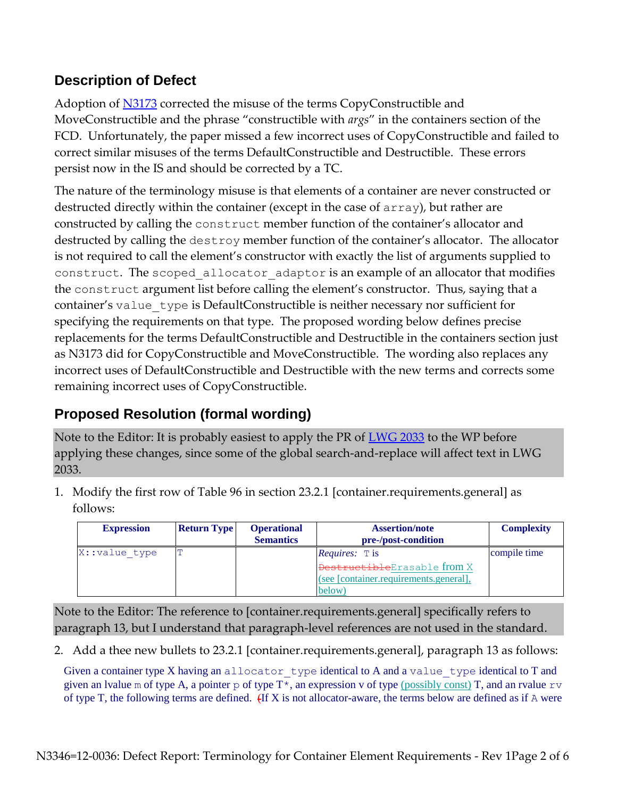## **Description of Defect**

Adoption of [N3173](http://www.open-std.org/JTC1/SC22/WG21/docs/papers/2010/N3173.pdf) corrected the misuse of the terms CopyConstructible and MoveConstructible and the phrase "constructible with *args*" in the containers section of the FCD. Unfortunately, the paper missed a few incorrect uses of CopyConstructible and failed to correct similar misuses of the terms DefaultConstructible and Destructible. These errors persist now in the IS and should be corrected by a TC.

The nature of the terminology misuse is that elements of a container are never constructed or destructed directly within the container (except in the case of array), but rather are constructed by calling the construct member function of the container's allocator and destructed by calling the destroy member function of the container's allocator. The allocator is not required to call the element's constructor with exactly the list of arguments supplied to construct. The scoped allocator adaptor is an example of an allocator that modifies the construct argument list before calling the element's constructor. Thus, saying that a container's value type is DefaultConstructible is neither necessary nor sufficient for specifying the requirements on that type. The proposed wording below defines precise replacements for the terms DefaultConstructible and Destructible in the containers section just as N3173 did for CopyConstructible and MoveConstructible. The wording also replaces any incorrect uses of DefaultConstructible and Destructible with the new terms and corrects some remaining incorrect uses of CopyConstructible.

# **Proposed Resolution (formal wording)**

Note to the Editor: It is probably easiest to apply the PR of [LWG 2033](http://lwg.github.com/issues/lwg-active.html#2033) to the WP before applying these changes, since some of the global search-and-replace will affect text in LWG 2033.

1. Modify the first row of Table 96 in section 23.2.1 [container.requirements.general] as follows:

| <b>Expression</b> | <b>Return Type</b> | <b>Operational</b><br><b>Semantics</b> | <b>Assertion/note</b><br>pre-/post-condition                                                                                     | <b>Complexity</b> |
|-------------------|--------------------|----------------------------------------|----------------------------------------------------------------------------------------------------------------------------------|-------------------|
| X:: value type    |                    |                                        | <i>Requires:</i> $\mathbb{T}$ is<br><b>DestructibleErasable from X</b><br>(see [container.requirements.general],<br><b>below</b> | compile time      |

Note to the Editor: The reference to [container.requirements.general] specifically refers to paragraph 13, but I understand that paragraph-level references are not used in the standard.

2. Add a thee new bullets to 23.2.1 [container.requirements.general], paragraph 13 as follows:

Given a container type X having an allocator type identical to A and a value type identical to T and given an lvalue m of type A, a pointer p of type  $T^*$ , an expression v of type (possibly const) T, and an rvalue  $\tau v$ of type T, the following terms are defined.  $(H X)$  is not allocator-aware, the terms below are defined as if A were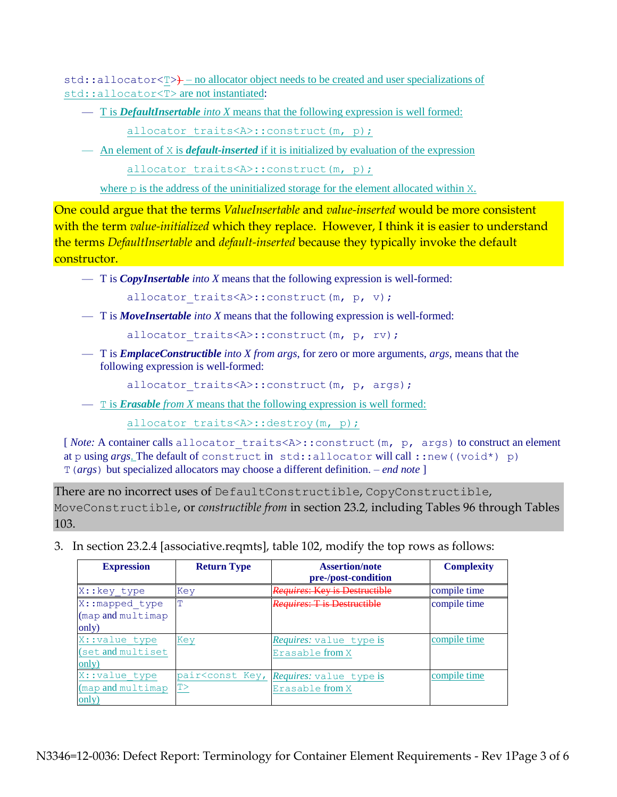std::allocator<T>> - no allocator object needs to be created and user specializations of std::allocator<T> are not instantiated:

— T is *DefaultInsertable into X* means that the following expression is well formed:

allocator traits<A>::construct(m, p);

— An element of X is *default-inserted* if it is initialized by evaluation of the expression

allocator traits<A>::construct(m, p);

where p is the address of the uninitialized storage for the element allocated within X.

One could argue that the terms *ValueInsertable* and *value-inserted* would be more consistent with the term *value-initialized* which they replace. However, I think it is easier to understand the terms *DefaultInsertable* and *default-inserted* because they typically invoke the default constructor.

— T is *CopyInsertable into X* means that the following expression is well-formed:

```
allocator traits<A>::construct(m, p, v);
```
— T is *MoveInsertable into X* means that the following expression is well-formed:

allocator traits<A>::construct(m, p, rv);

— T is *EmplaceConstructible into X from args*, for zero or more arguments, *args,* means that the following expression is well-formed:

allocator traits<A>::construct(m, p, args);

— T is *Erasable from X* means that the following expression is well formed:

allocator traits<A>::destroy(m, p);

[*Note:* A container calls allocator traits<A>:: construct(m, p, args) to construct an element at p using *args*. The default of construct in std::allocator will call ::new((void\*) p) T(*args*) but specialized allocators may choose a different definition. *– end note* ]

There are no incorrect uses of DefaultConstructible, CopyConstructible,

MoveConstructible, or *constructible from* in section 23.2, including Tables 96 through Tables 103.

3. In section 23.2.4 [associative.reqmts], table 102, modify the top rows as follows:

| <b>Expression</b>                                       | <b>Return Type</b> | <b>Assertion/note</b><br>pre-/post-condition                                       | <b>Complexity</b> |
|---------------------------------------------------------|--------------------|------------------------------------------------------------------------------------|-------------------|
| X:: key type                                            | Key                | <i>Requires</i> : Kev is Destructible                                              | compile time      |
| X:: mapped type<br>$(\text{map and multimap})$<br>only) | т                  | Requires: T is Destructible                                                        | compile time      |
| X:: value type<br>(set and multiset<br>only)            | Key                | <i>Requires:</i> value type is<br>Erasable from X                                  | compile time      |
| X:: value type<br>(map and multimap<br>only)            | T                  | pair <const is<br="" key,="" requires:="" type="" value="">Erasable from X</const> | compile time      |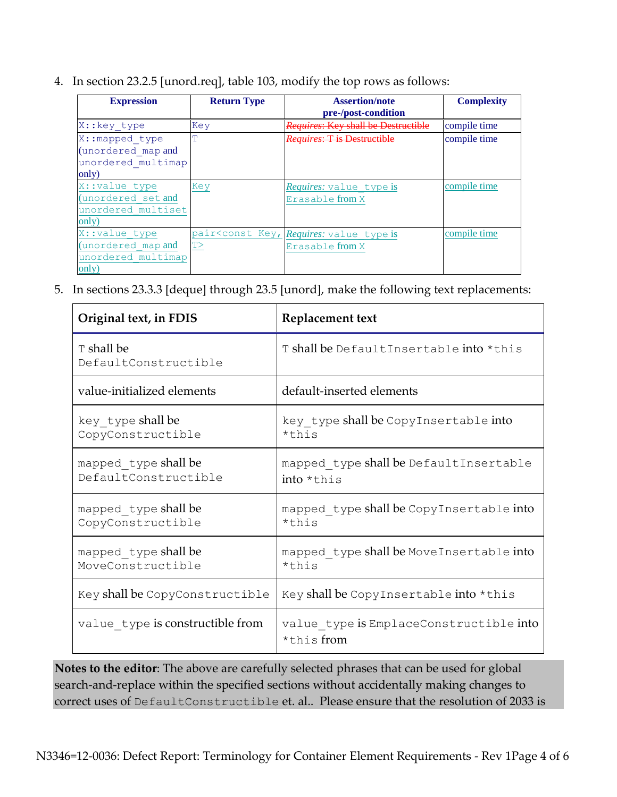4. In section 23.2.5 [unord.req], table 103, modify the top rows as follows:

| <b>Expression</b>  | <b>Return Type</b> | <b>Assertion/note</b>                                                                        | <b>Complexity</b> |
|--------------------|--------------------|----------------------------------------------------------------------------------------------|-------------------|
|                    |                    | pre-/post-condition                                                                          |                   |
| X:: key type       | Key                | <i>Requires:</i> Key shall be Destructible                                                   | compile time      |
| X:: mapped type    | T                  | Requires: T is Destructible                                                                  | compile time      |
| (unordered map and |                    |                                                                                              |                   |
| unordered multimap |                    |                                                                                              |                   |
| only)              |                    |                                                                                              |                   |
| X:: value type     | Key                | <i>Requires:</i> value type is                                                               | compile time      |
| (unordered set and |                    | Erasable from X                                                                              |                   |
| unordered multiset |                    |                                                                                              |                   |
| only)              |                    |                                                                                              |                   |
| X:: value type     |                    | pair <const is<="" key,="" requires:="" td="" type="" value=""><td>compile time</td></const> | compile time      |
| (unordered map and | T                  | Erasable from X                                                                              |                   |
| unordered multimap |                    |                                                                                              |                   |
| only)              |                    |                                                                                              |                   |

5. In sections 23.3.3 [deque] through 23.5 [unord], make the following text replacements:

| Original text, in FDIS                       | Replacement text                                        |
|----------------------------------------------|---------------------------------------------------------|
| T shall be<br>DefaultConstructible           | Tshall be DefaultInsertable into *this                  |
| value-initialized elements                   | default-inserted elements                               |
| key type shall be<br>CopyConstructible       | key type shall be CopyInsertable into<br>$*$ this       |
| mapped type shall be<br>DefaultConstructible | mapped type shall be DefaultInsertable<br>$into * this$ |
| mapped type shall be<br>CopyConstructible    | mapped type shall be CopyInsertable into<br>*this       |
| mapped_type shall be<br>MoveConstructible    | mapped type shall be MoveInsertable into<br>*this       |
| Key shall be CopyConstructible               | Key shall be CopyInsertable into *this                  |
| value type is constructible from             | value type is EmplaceConstructible into<br>*this from   |

**Notes to the editor**: The above are carefully selected phrases that can be used for global search-and-replace within the specified sections without accidentally making changes to correct uses of DefaultConstructible et. al.. Please ensure that the resolution of 2033 is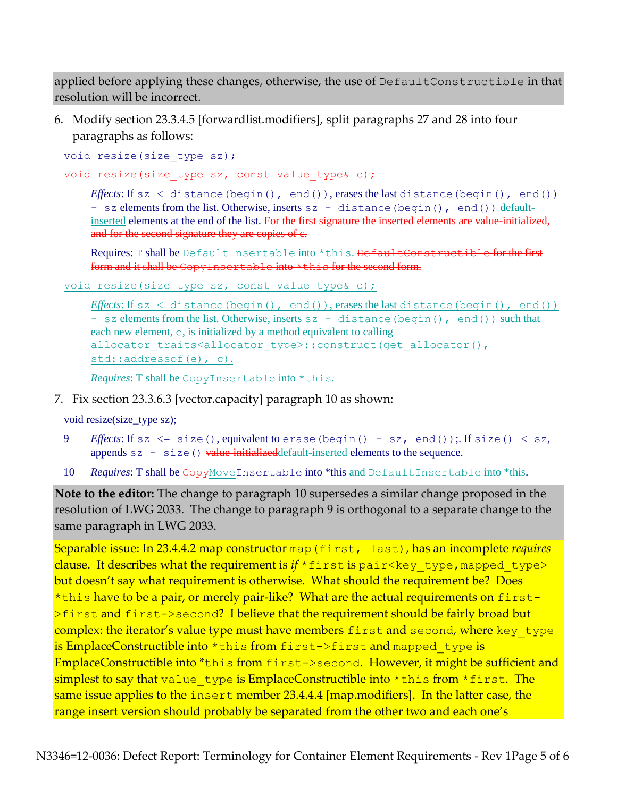applied before applying these changes, otherwise, the use of DefaultConstructible in that resolution will be incorrect.

6. Modify section 23.3.4.5 [forwardlist.modifiers], split paragraphs 27 and 28 into four paragraphs as follows:

void resize(size type sz);

void resize(size type sz, const value type& c);

*Effects*: If sz < distance(begin(), end()), erases the last distance(begin(), end()) - sz elements from the list. Otherwise, inserts sz - distance (begin(), end()) defaultinserted elements at the end of the list. For the first signature the inserted elements are value-initialized, and for the second signature they are copies of  $e$ .

Requires: T shall be DefaultInsertable into \*this. DefaultConstructible for the first form and it shall be CopyInsertable into \*this for the second form.

void resize(size type sz, const value type& c);

*Effects*: If sz < distance(begin(), end()), erases the last distance(begin(), end()) - sz elements from the list. Otherwise, inserts sz - distance (begin(), end()) such that each new element, e, is initialized by a method equivalent to calling allocator traits<allocator type>::construct(get allocator(), std::addressof(e), c).

*Requires*: T shall be CopyInsertable into \*this.

7. Fix section 23.3.6.3 [vector.capacity] paragraph 10 as shown:

void resize(size\_type sz);

- 9 *Effects*: If sz <= size(), equivalent to erase(begin() + sz, end());. If size() < sz, appends  $sz - size()$  value-initialized default-inserted elements to the sequence.
- 10 *Requires*: T shall be  $\epsilon$ opyMoveInsertable into \*this and DefaultInsertable into \*this.

**Note to the editor:** The change to paragraph 10 supersedes a similar change proposed in the resolution of LWG 2033. The change to paragraph 9 is orthogonal to a separate change to the same paragraph in LWG 2033.

Separable issue: In 23.4.4.2 map constructor map(first, last), has an incomplete *requires* clause. It describes what the requirement is if \*first is pair<key type, mapped type> but doesn't say what requirement is otherwise. What should the requirement be? Does \*this have to be a pair, or merely pair-like? What are the actual requirements on first->first and first->second? I believe that the requirement should be fairly broad but complex: the iterator's value type must have members first and second, where key type is EmplaceConstructible into \*this from first->first and mapped type is EmplaceConstructible into \*this from first->second. However, it might be sufficient and simplest to say that value type is EmplaceConstructible into  $*$ this from  $*$ first. The same issue applies to the insert member 23.4.4.4 [map.modifiers]. In the latter case, the range insert version should probably be separated from the other two and each one's